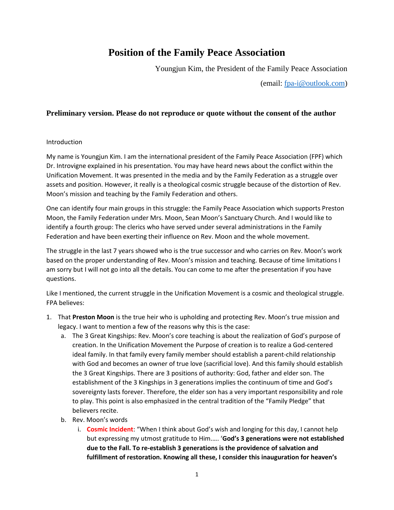## **Position of the Family Peace Association**

Youngjun Kim, the President of the Family Peace Association

(email: [fpa-i@outlook.com\)](mailto:fpa-i@outlook.com)

## **Preliminary version. Please do not reproduce or quote without the consent of the author**

## Introduction

My name is Youngjun Kim. I am the international president of the Family Peace Association (FPF) which Dr. Introvigne explained in his presentation. You may have heard news about the conflict within the Unification Movement. It was presented in the media and by the Family Federation as a struggle over assets and position. However, it really is a theological cosmic struggle because of the distortion of Rev. Moon's mission and teaching by the Family Federation and others.

One can identify four main groups in this struggle: the Family Peace Association which supports Preston Moon, the Family Federation under Mrs. Moon, Sean Moon's Sanctuary Church. And I would like to identify a fourth group: The clerics who have served under several administrations in the Family Federation and have been exerting their influence on Rev. Moon and the whole movement.

The struggle in the last 7 years showed who is the true successor and who carries on Rev. Moon's work based on the proper understanding of Rev. Moon's mission and teaching. Because of time limitations I am sorry but I will not go into all the details. You can come to me after the presentation if you have questions.

Like I mentioned, the current struggle in the Unification Movement is a cosmic and theological struggle. FPA believes:

- 1. That **Preston Moon** is the true heir who is upholding and protecting Rev. Moon's true mission and legacy. I want to mention a few of the reasons why this is the case:
	- a. The 3 Great Kingships: Rev. Moon's core teaching is about the realization of God's purpose of creation. In the Unification Movement the Purpose of creation is to realize a God-centered ideal family. In that family every family member should establish a parent-child relationship with God and becomes an owner of true love (sacrificial love). And this family should establish the 3 Great Kingships. There are 3 positions of authority: God, father and elder son. The establishment of the 3 Kingships in 3 generations implies the continuum of time and God's sovereignty lasts forever. Therefore, the elder son has a very important responsibility and role to play. This point is also emphasized in the central tradition of the "Family Pledge" that believers recite.
	- b. Rev. Moon's words
		- i. **Cosmic Incident**: "When I think about God's wish and longing for this day, I cannot help but expressing my utmost gratitude to Him.…. '**God's 3 generations were not established due to the Fall. To re-establish 3 generations is the providence of salvation and fulfillment of restoration. Knowing all these, I consider this inauguration for heaven's**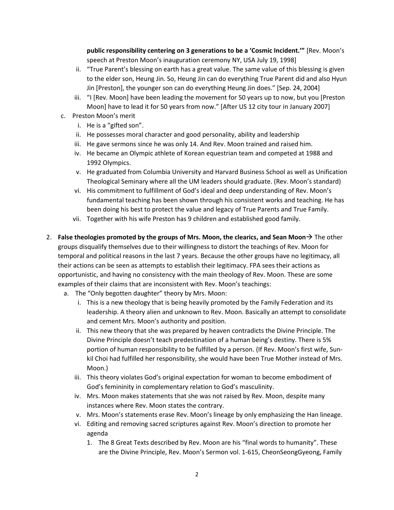**public responsibility centering on 3 generations to be a 'Cosmic Incident.'"** [Rev. Moon's speech at Preston Moon's inauguration ceremony NY, USA July 19, 1998]

- ii. "True Parent's blessing on earth has a great value. The same value of this blessing is given to the elder son, Heung Jin. So, Heung Jin can do everything True Parent did and also Hyun Jin [Preston], the younger son can do everything Heung Jin does." [Sep. 24, 2004]
- iii. "I [Rev. Moon] have been leading the movement for 50 years up to now, but you [Preston Moon] have to lead it for 50 years from now." [After US 12 city tour in January 2007]
- c. Preston Moon's merit
	- i. He is a "gifted son".
	- ii. He possesses moral character and good personality, ability and leadership
	- iii. He gave sermons since he was only 14. And Rev. Moon trained and raised him.
	- iv. He became an Olympic athlete of Korean equestrian team and competed at 1988 and 1992 Olympics.
	- v. He graduated from Columbia University and Harvard Business School as well as Unification Theological Seminary where all the UM leaders should graduate. (Rev. Moon's standard)
	- vi. His commitment to fulfillment of God's ideal and deep understanding of Rev. Moon's fundamental teaching has been shown through his consistent works and teaching. He has been doing his best to protect the value and legacy of True Parents and True Family.
	- vii. Together with his wife Preston has 9 children and established good family.
- 2. **False theologies promoted by the groups of Mrs. Moon, the clearics, and Sean Moon**  $\rightarrow$  **The other** groups disqualify themselves due to their willingness to distort the teachings of Rev. Moon for temporal and political reasons in the last 7 years. Because the other groups have no legitimacy, all their actions can be seen as attempts to establish their legitimacy. FPA sees their actions as opportunistic, and having no consistency with the main theology of Rev. Moon. These are some examples of their claims that are inconsistent with Rev. Moon's teachings:
	- a. The "Only begotten daughter" theory by Mrs. Moon:
		- i. This is a new theology that is being heavily promoted by the Family Federation and its leadership. A theory alien and unknown to Rev. Moon. Basically an attempt to consolidate and cement Mrs. Moon's authority and position.
		- ii. This new theory that she was prepared by heaven contradicts the Divine Principle. The Divine Principle doesn't teach predestination of a human being's destiny. There is 5% portion of human responsibility to be fulfilled by a person. (If Rev. Moon's first wife, Sunkil Choi had fulfilled her responsibility, she would have been True Mother instead of Mrs. Moon.)
		- iii. This theory violates God's original expectation for woman to become embodiment of God's femininity in complementary relation to God's masculinity.
		- iv. Mrs. Moon makes statements that she was not raised by Rev. Moon, despite many instances where Rev. Moon states the contrary.
		- v. Mrs. Moon's statements erase Rev. Moon's lineage by only emphasizing the Han lineage.
		- vi. Editing and removing sacred scriptures against Rev. Moon's direction to promote her agenda
			- 1. The 8 Great Texts described by Rev. Moon are his "final words to humanity". These are the Divine Principle, Rev. Moon's Sermon vol. 1-615, CheonSeongGyeong, Family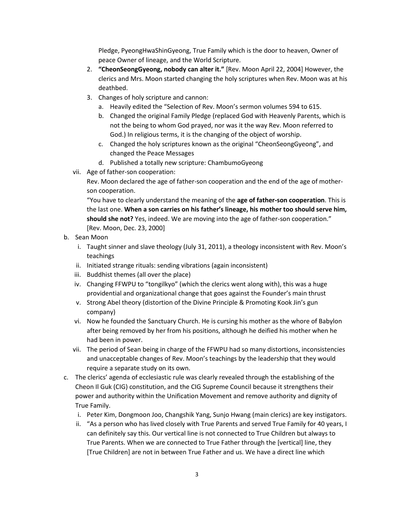Pledge, PyeongHwaShinGyeong, True Family which is the door to heaven, Owner of peace Owner of lineage, and the World Scripture.

- 2. **"CheonSeongGyeong, nobody can alter it."** [Rev. Moon April 22, 2004] However, the clerics and Mrs. Moon started changing the holy scriptures when Rev. Moon was at his deathbed.
- 3. Changes of holy scripture and cannon:
	- a. Heavily edited the "Selection of Rev. Moon's sermon volumes 594 to 615.
	- b. Changed the original Family Pledge (replaced God with Heavenly Parents, which is not the being to whom God prayed, nor was it the way Rev. Moon referred to God.) In religious terms, it is the changing of the object of worship.
	- c. Changed the holy scriptures known as the original "CheonSeongGyeong", and changed the Peace Messages
	- d. Published a totally new scripture: ChambumoGyeong
- vii. Age of father-son cooperation:

Rev. Moon declared the age of father-son cooperation and the end of the age of motherson cooperation.

"You have to clearly understand the meaning of the **age of father-son cooperation**. This is the last one. **When a son carries on his father's lineage, his mother too should serve him, should she not?** Yes, indeed. We are moving into the age of father-son cooperation." [Rev. Moon, Dec. 23, 2000]

- b. Sean Moon
	- i. Taught sinner and slave theology (July 31, 2011), a theology inconsistent with Rev. Moon's teachings
	- ii. Initiated strange rituals: sending vibrations (again inconsistent)
	- iii. Buddhist themes (all over the place)
	- iv. Changing FFWPU to "tongilkyo" (which the clerics went along with), this was a huge providential and organizational change that goes against the Founder's main thrust
	- v. Strong Abel theory (distortion of the Divine Principle & Promoting Kook Jin's gun company)
	- vi. Now he founded the Sanctuary Church. He is cursing his mother as the whore of Babylon after being removed by her from his positions, although he deified his mother when he had been in power.
	- vii. The period of Sean being in charge of the FFWPU had so many distortions, inconsistencies and unacceptable changes of Rev. Moon's teachings by the leadership that they would require a separate study on its own.
- c. The clerics' agenda of ecclesiastic rule was clearly revealed through the establishing of the Cheon Il Guk (CIG) constitution, and the CIG Supreme Council because it strengthens their power and authority within the Unification Movement and remove authority and dignity of True Family.
	- i. Peter Kim, Dongmoon Joo, Changshik Yang, Sunjo Hwang (main clerics) are key instigators.
	- ii. "As a person who has lived closely with True Parents and served True Family for 40 years, I can definitely say this. Our vertical line is not connected to True Children but always to True Parents. When we are connected to True Father through the [vertical] line, they [True Children] are not in between True Father and us. We have a direct line which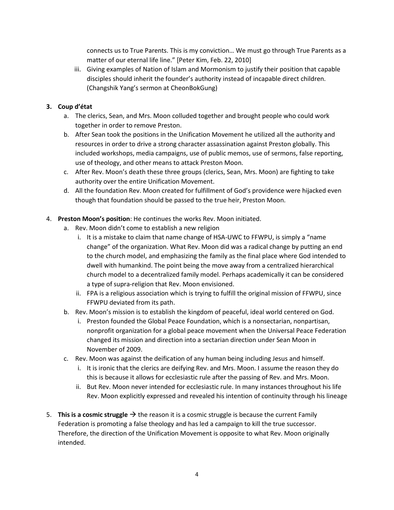connects us to True Parents. This is my conviction… We must go through True Parents as a matter of our eternal life line." [Peter Kim, Feb. 22, 2010]

iii. Giving examples of Nation of Islam and Mormonism to justify their position that capable disciples should inherit the founder's authority instead of incapable direct children. (Changshik Yang's sermon at CheonBokGung)

## **3. Coup d'état**

- a. The clerics, Sean, and Mrs. Moon colluded together and brought people who could work together in order to remove Preston.
- b. After Sean took the positions in the Unification Movement he utilized all the authority and resources in order to drive a strong character assassination against Preston globally. This included workshops, media campaigns, use of public memos, use of sermons, false reporting, use of theology, and other means to attack Preston Moon.
- c. After Rev. Moon's death these three groups (clerics, Sean, Mrs. Moon) are fighting to take authority over the entire Unification Movement.
- d. All the foundation Rev. Moon created for fulfillment of God's providence were hijacked even though that foundation should be passed to the true heir, Preston Moon.
- 4. **Preston Moon's position**: He continues the works Rev. Moon initiated.
	- a. Rev. Moon didn't come to establish a new religion
		- i. It is a mistake to claim that name change of HSA-UWC to FFWPU, is simply a "name change" of the organization. What Rev. Moon did was a radical change by putting an end to the church model, and emphasizing the family as the final place where God intended to dwell with humankind. The point being the move away from a centralized hierarchical church model to a decentralized family model. Perhaps academically it can be considered a type of supra-religion that Rev. Moon envisioned.
		- ii. FPA is a religious association which is trying to fulfill the original mission of FFWPU, since FFWPU deviated from its path.
	- b. Rev. Moon's mission is to establish the kingdom of peaceful, ideal world centered on God.
		- i. Preston founded the Global Peace Foundation, which is a nonsectarian, nonpartisan, nonprofit organization for a global peace movement when the Universal Peace Federation changed its mission and direction into a sectarian direction under Sean Moon in November of 2009.
	- c. Rev. Moon was against the deification of any human being including Jesus and himself.
		- i. It is ironic that the clerics are deifying Rev. and Mrs. Moon. I assume the reason they do this is because it allows for ecclesiastic rule after the passing of Rev. and Mrs. Moon.
		- ii. But Rev. Moon never intended for ecclesiastic rule. In many instances throughout his life Rev. Moon explicitly expressed and revealed his intention of continuity through his lineage
- 5. **This is a cosmic struggle**  $\rightarrow$  the reason it is a cosmic struggle is because the current Family Federation is promoting a false theology and has led a campaign to kill the true successor. Therefore, the direction of the Unification Movement is opposite to what Rev. Moon originally intended.